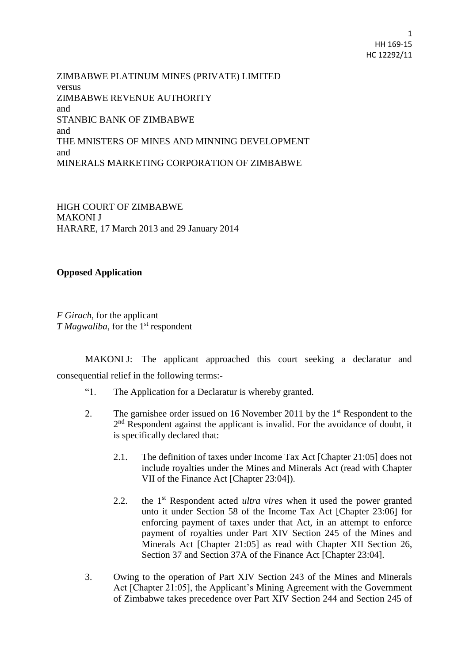1 HH 169-15 HC 12292/11

ZIMBABWE PLATINUM MINES (PRIVATE) LIMITED versus ZIMBABWE REVENUE AUTHORITY and STANBIC BANK OF ZIMBABWE and THE MNISTERS OF MINES AND MINNING DEVELOPMENT and MINERALS MARKETING CORPORATION OF ZIMBABWE

HIGH COURT OF ZIMBABWE MAKONI J HARARE, 17 March 2013 and 29 January 2014

# **Opposed Application**

*F Girach*, for the applicant *T Magwaliba*, for the 1<sup>st</sup> respondent

MAKONI J: The applicant approached this court seeking a declaratur and consequential relief in the following terms:-

- "1. The Application for a Declaratur is whereby granted.
- 2. The garnishee order issued on 16 November 2011 by the 1<sup>st</sup> Respondent to the 2<sup>nd</sup> Respondent against the applicant is invalid. For the avoidance of doubt, it is specifically declared that:
	- 2.1. The definition of taxes under Income Tax Act [Chapter 21:05] does not include royalties under the Mines and Minerals Act (read with Chapter VII of the Finance Act [Chapter 23:04]).
	- 2.2. the 1<sup>st</sup> Respondent acted *ultra vires* when it used the power granted unto it under Section 58 of the Income Tax Act [Chapter 23:06] for enforcing payment of taxes under that Act, in an attempt to enforce payment of royalties under Part XIV Section 245 of the Mines and Minerals Act [Chapter 21:05] as read with Chapter XII Section 26, Section 37 and Section 37A of the Finance Act [Chapter 23:04].
- 3. Owing to the operation of Part XIV Section 243 of the Mines and Minerals Act [Chapter 21:05], the Applicant's Mining Agreement with the Government of Zimbabwe takes precedence over Part XIV Section 244 and Section 245 of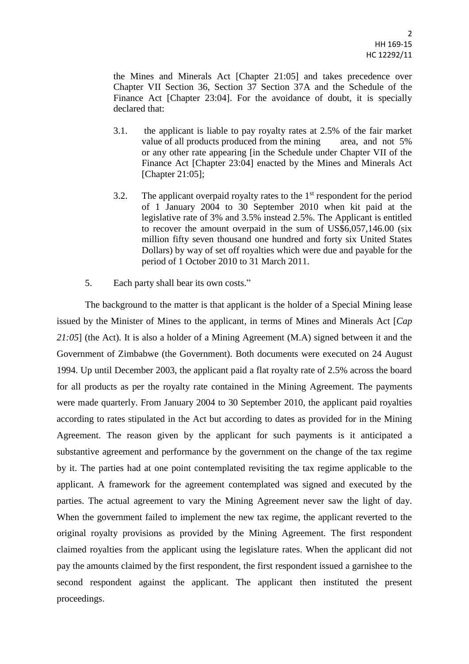the Mines and Minerals Act [Chapter 21:05] and takes precedence over Chapter VII Section 36, Section 37 Section 37A and the Schedule of the Finance Act [Chapter 23:04]. For the avoidance of doubt, it is specially declared that:

- 3.1. the applicant is liable to pay royalty rates at 2.5% of the fair market value of all products produced from the mining area, and not 5% or any other rate appearing [in the Schedule under Chapter VII of the Finance Act [Chapter 23:04] enacted by the Mines and Minerals Act [Chapter 21:05];
- 3.2. The applicant overpaid royalty rates to the  $1<sup>st</sup>$  respondent for the period of 1 January 2004 to 30 September 2010 when kit paid at the legislative rate of 3% and 3.5% instead 2.5%. The Applicant is entitled to recover the amount overpaid in the sum of US\$6,057,146.00 (six million fifty seven thousand one hundred and forty six United States Dollars) by way of set off royalties which were due and payable for the period of 1 October 2010 to 31 March 2011.
- 5. Each party shall bear its own costs."

The background to the matter is that applicant is the holder of a Special Mining lease issued by the Minister of Mines to the applicant, in terms of Mines and Minerals Act [*Cap 21:05*] (the Act). It is also a holder of a Mining Agreement (M.A) signed between it and the Government of Zimbabwe (the Government). Both documents were executed on 24 August 1994. Up until December 2003, the applicant paid a flat royalty rate of 2.5% across the board for all products as per the royalty rate contained in the Mining Agreement. The payments were made quarterly. From January 2004 to 30 September 2010, the applicant paid royalties according to rates stipulated in the Act but according to dates as provided for in the Mining Agreement. The reason given by the applicant for such payments is it anticipated a substantive agreement and performance by the government on the change of the tax regime by it. The parties had at one point contemplated revisiting the tax regime applicable to the applicant. A framework for the agreement contemplated was signed and executed by the parties. The actual agreement to vary the Mining Agreement never saw the light of day. When the government failed to implement the new tax regime, the applicant reverted to the original royalty provisions as provided by the Mining Agreement. The first respondent claimed royalties from the applicant using the legislature rates. When the applicant did not pay the amounts claimed by the first respondent, the first respondent issued a garnishee to the second respondent against the applicant. The applicant then instituted the present proceedings.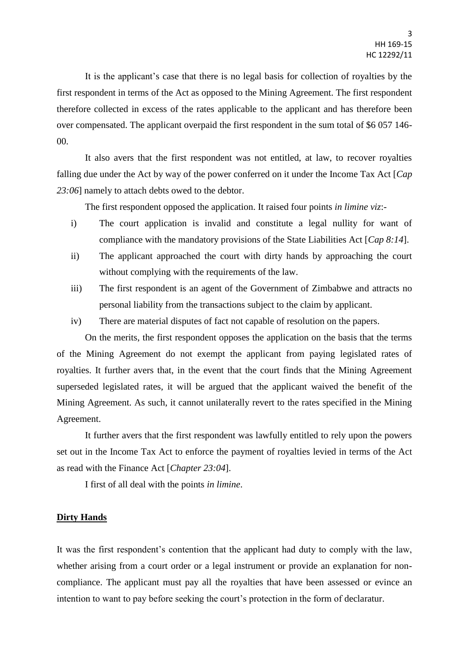It is the applicant's case that there is no legal basis for collection of royalties by the first respondent in terms of the Act as opposed to the Mining Agreement. The first respondent therefore collected in excess of the rates applicable to the applicant and has therefore been over compensated. The applicant overpaid the first respondent in the sum total of \$6 057 146- 00.

It also avers that the first respondent was not entitled, at law, to recover royalties falling due under the Act by way of the power conferred on it under the Income Tax Act [*Cap 23:06*] namely to attach debts owed to the debtor.

The first respondent opposed the application. It raised four points *in limine viz*:-

- i) The court application is invalid and constitute a legal nullity for want of compliance with the mandatory provisions of the State Liabilities Act [*Cap 8:14*].
- ii) The applicant approached the court with dirty hands by approaching the court without complying with the requirements of the law.
- iii) The first respondent is an agent of the Government of Zimbabwe and attracts no personal liability from the transactions subject to the claim by applicant.
- iv) There are material disputes of fact not capable of resolution on the papers.

On the merits, the first respondent opposes the application on the basis that the terms of the Mining Agreement do not exempt the applicant from paying legislated rates of royalties. It further avers that, in the event that the court finds that the Mining Agreement superseded legislated rates, it will be argued that the applicant waived the benefit of the Mining Agreement. As such, it cannot unilaterally revert to the rates specified in the Mining Agreement.

It further avers that the first respondent was lawfully entitled to rely upon the powers set out in the Income Tax Act to enforce the payment of royalties levied in terms of the Act as read with the Finance Act [*Chapter 23:04*].

I first of all deal with the points *in limine*.

## **Dirty Hands**

It was the first respondent's contention that the applicant had duty to comply with the law, whether arising from a court order or a legal instrument or provide an explanation for noncompliance. The applicant must pay all the royalties that have been assessed or evince an intention to want to pay before seeking the court's protection in the form of declaratur.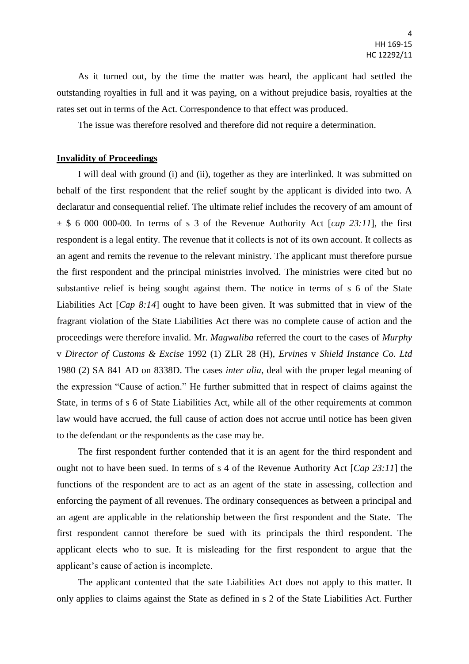As it turned out, by the time the matter was heard, the applicant had settled the outstanding royalties in full and it was paying, on a without prejudice basis, royalties at the rates set out in terms of the Act. Correspondence to that effect was produced.

The issue was therefore resolved and therefore did not require a determination.

## **Invalidity of Proceedings**

I will deal with ground (i) and (ii), together as they are interlinked. It was submitted on behalf of the first respondent that the relief sought by the applicant is divided into two. A declaratur and consequential relief. The ultimate relief includes the recovery of am amount of  $\pm$  \$ 6 000 000-00. In terms of s 3 of the Revenue Authority Act [*cap 23:11*], the first respondent is a legal entity. The revenue that it collects is not of its own account. It collects as an agent and remits the revenue to the relevant ministry. The applicant must therefore pursue the first respondent and the principal ministries involved. The ministries were cited but no substantive relief is being sought against them. The notice in terms of s 6 of the State Liabilities Act [*Cap 8:14*] ought to have been given. It was submitted that in view of the fragrant violation of the State Liabilities Act there was no complete cause of action and the proceedings were therefore invalid. Mr. *Magwaliba* referred the court to the cases of *Murphy*  v *Director of Customs & Excise* 1992 (1) ZLR 28 (H), *Ervines* v *Shield Instance Co. Ltd*  1980 (2) SA 841 AD on 8338D. The cases *inter alia*, deal with the proper legal meaning of the expression "Cause of action." He further submitted that in respect of claims against the State, in terms of s 6 of State Liabilities Act, while all of the other requirements at common law would have accrued, the full cause of action does not accrue until notice has been given to the defendant or the respondents as the case may be.

The first respondent further contended that it is an agent for the third respondent and ought not to have been sued. In terms of s 4 of the Revenue Authority Act [*Cap 23:11*] the functions of the respondent are to act as an agent of the state in assessing, collection and enforcing the payment of all revenues. The ordinary consequences as between a principal and an agent are applicable in the relationship between the first respondent and the State. The first respondent cannot therefore be sued with its principals the third respondent. The applicant elects who to sue. It is misleading for the first respondent to argue that the applicant's cause of action is incomplete.

The applicant contented that the sate Liabilities Act does not apply to this matter. It only applies to claims against the State as defined in s 2 of the State Liabilities Act. Further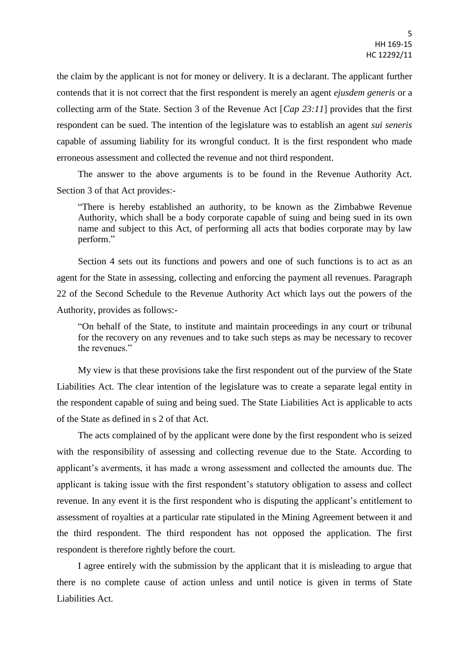the claim by the applicant is not for money or delivery. It is a declarant. The applicant further contends that it is not correct that the first respondent is merely an agent *ejusdem generis* or a collecting arm of the State. Section 3 of the Revenue Act [*Cap 23:11*] provides that the first respondent can be sued. The intention of the legislature was to establish an agent *sui seneris*  capable of assuming liability for its wrongful conduct. It is the first respondent who made erroneous assessment and collected the revenue and not third respondent.

The answer to the above arguments is to be found in the Revenue Authority Act. Section 3 of that Act provides:-

"There is hereby established an authority, to be known as the Zimbabwe Revenue Authority, which shall be a body corporate capable of suing and being sued in its own name and subject to this Act, of performing all acts that bodies corporate may by law perform."

Section 4 sets out its functions and powers and one of such functions is to act as an agent for the State in assessing, collecting and enforcing the payment all revenues. Paragraph 22 of the Second Schedule to the Revenue Authority Act which lays out the powers of the Authority, provides as follows:-

"On behalf of the State, to institute and maintain proceedings in any court or tribunal for the recovery on any revenues and to take such steps as may be necessary to recover the revenues."

My view is that these provisions take the first respondent out of the purview of the State Liabilities Act. The clear intention of the legislature was to create a separate legal entity in the respondent capable of suing and being sued. The State Liabilities Act is applicable to acts of the State as defined in s 2 of that Act.

The acts complained of by the applicant were done by the first respondent who is seized with the responsibility of assessing and collecting revenue due to the State. According to applicant's averments, it has made a wrong assessment and collected the amounts due. The applicant is taking issue with the first respondent's statutory obligation to assess and collect revenue. In any event it is the first respondent who is disputing the applicant's entitlement to assessment of royalties at a particular rate stipulated in the Mining Agreement between it and the third respondent. The third respondent has not opposed the application. The first respondent is therefore rightly before the court.

I agree entirely with the submission by the applicant that it is misleading to argue that there is no complete cause of action unless and until notice is given in terms of State Liabilities Act.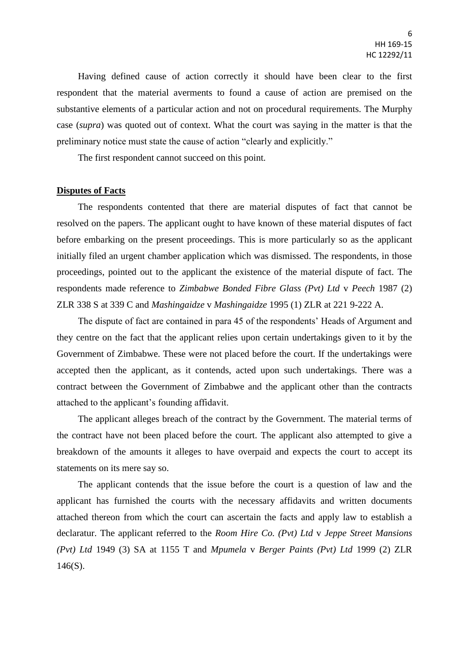Having defined cause of action correctly it should have been clear to the first respondent that the material averments to found a cause of action are premised on the substantive elements of a particular action and not on procedural requirements. The Murphy case (*supra*) was quoted out of context. What the court was saying in the matter is that the preliminary notice must state the cause of action "clearly and explicitly."

The first respondent cannot succeed on this point.

### **Disputes of Facts**

The respondents contented that there are material disputes of fact that cannot be resolved on the papers. The applicant ought to have known of these material disputes of fact before embarking on the present proceedings. This is more particularly so as the applicant initially filed an urgent chamber application which was dismissed. The respondents, in those proceedings, pointed out to the applicant the existence of the material dispute of fact. The respondents made reference to *Zimbabwe Bonded Fibre Glass (Pvt) Ltd* v *Peech* 1987 (2) ZLR 338 S at 339 C and *Mashingaidze* v *Mashingaidze* 1995 (1) ZLR at 221 9-222 A.

The dispute of fact are contained in para 45 of the respondents' Heads of Argument and they centre on the fact that the applicant relies upon certain undertakings given to it by the Government of Zimbabwe. These were not placed before the court. If the undertakings were accepted then the applicant, as it contends, acted upon such undertakings. There was a contract between the Government of Zimbabwe and the applicant other than the contracts attached to the applicant's founding affidavit.

The applicant alleges breach of the contract by the Government. The material terms of the contract have not been placed before the court. The applicant also attempted to give a breakdown of the amounts it alleges to have overpaid and expects the court to accept its statements on its mere say so.

The applicant contends that the issue before the court is a question of law and the applicant has furnished the courts with the necessary affidavits and written documents attached thereon from which the court can ascertain the facts and apply law to establish a declaratur. The applicant referred to the *Room Hire Co. (Pvt) Ltd* v *Jeppe Street Mansions (Pvt) Ltd* 1949 (3) SA at 1155 T and *Mpumela* v *Berger Paints (Pvt) Ltd* 1999 (2) ZLR  $146(S)$ .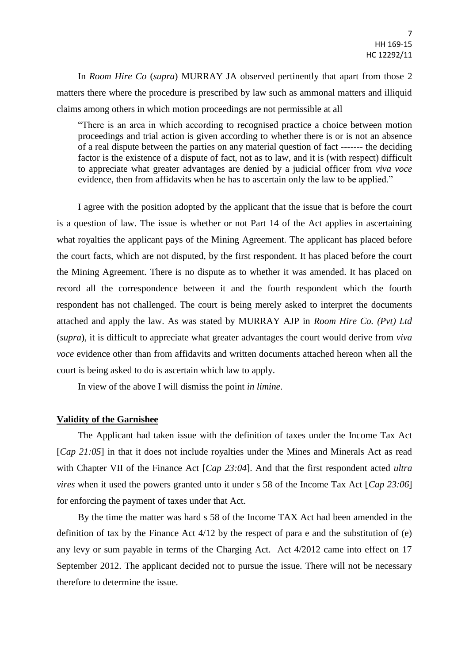In *Room Hire Co* (*supra*) MURRAY JA observed pertinently that apart from those 2 matters there where the procedure is prescribed by law such as ammonal matters and illiquid claims among others in which motion proceedings are not permissible at all

"There is an area in which according to recognised practice a choice between motion proceedings and trial action is given according to whether there is or is not an absence of a real dispute between the parties on any material question of fact ------- the deciding factor is the existence of a dispute of fact, not as to law, and it is (with respect) difficult to appreciate what greater advantages are denied by a judicial officer from *viva voce* evidence, then from affidavits when he has to ascertain only the law to be applied."

I agree with the position adopted by the applicant that the issue that is before the court is a question of law. The issue is whether or not Part 14 of the Act applies in ascertaining what royalties the applicant pays of the Mining Agreement. The applicant has placed before the court facts, which are not disputed, by the first respondent. It has placed before the court the Mining Agreement. There is no dispute as to whether it was amended. It has placed on record all the correspondence between it and the fourth respondent which the fourth respondent has not challenged. The court is being merely asked to interpret the documents attached and apply the law. As was stated by MURRAY AJP in *Room Hire Co. (Pvt) Ltd* (*supra*), it is difficult to appreciate what greater advantages the court would derive from *viva voce* evidence other than from affidavits and written documents attached hereon when all the court is being asked to do is ascertain which law to apply.

In view of the above I will dismiss the point *in limine*.

# **Validity of the Garnishee**

The Applicant had taken issue with the definition of taxes under the Income Tax Act [*Cap 21:05*] in that it does not include royalties under the Mines and Minerals Act as read with Chapter VII of the Finance Act [*Cap 23:04*]. And that the first respondent acted *ultra vires* when it used the powers granted unto it under s 58 of the Income Tax Act [*Cap 23:06*] for enforcing the payment of taxes under that Act.

By the time the matter was hard s 58 of the Income TAX Act had been amended in the definition of tax by the Finance Act 4/12 by the respect of para e and the substitution of (e) any levy or sum payable in terms of the Charging Act. Act 4/2012 came into effect on 17 September 2012. The applicant decided not to pursue the issue. There will not be necessary therefore to determine the issue.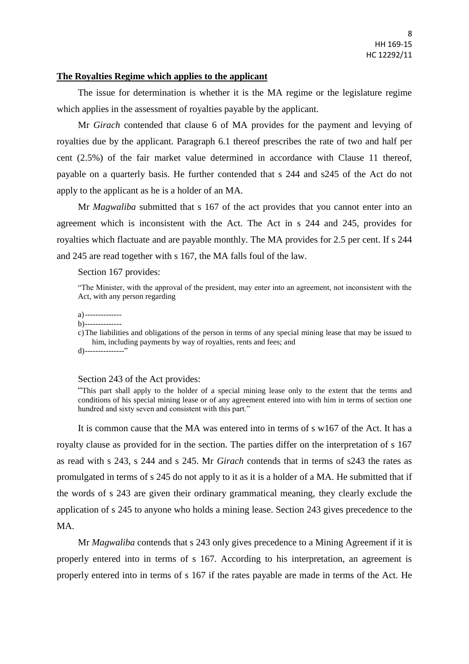## **The Royalties Regime which applies to the applicant**

The issue for determination is whether it is the MA regime or the legislature regime which applies in the assessment of royalties payable by the applicant.

Mr *Girach* contended that clause 6 of MA provides for the payment and levying of royalties due by the applicant. Paragraph 6.1 thereof prescribes the rate of two and half per cent (2.5%) of the fair market value determined in accordance with Clause 11 thereof, payable on a quarterly basis. He further contended that s 244 and s245 of the Act do not apply to the applicant as he is a holder of an MA.

Mr *Magwaliba* submitted that s 167 of the act provides that you cannot enter into an agreement which is inconsistent with the Act. The Act in s 244 and 245, provides for royalties which flactuate and are payable monthly. The MA provides for 2.5 per cent. If s 244 and 245 are read together with s 167, the MA falls foul of the law.

#### Section 167 provides:

"The Minister, with the approval of the president, may enter into an agreement, not inconsistent with the Act, with any person regarding

#### a)--------------

b)--------------

c)The liabilities and obligations of the person in terms of any special mining lease that may be issued to him, including payments by way of royalties, rents and fees; and  $d)$ ---------------"

#### Section 243 of the Act provides:

"This part shall apply to the holder of a special mining lease only to the extent that the terms and conditions of his special mining lease or of any agreement entered into with him in terms of section one hundred and sixty seven and consistent with this part."

It is common cause that the MA was entered into in terms of s w167 of the Act. It has a royalty clause as provided for in the section. The parties differ on the interpretation of s 167 as read with s 243, s 244 and s 245. Mr *Girach* contends that in terms of s243 the rates as promulgated in terms of s 245 do not apply to it as it is a holder of a MA. He submitted that if the words of s 243 are given their ordinary grammatical meaning, they clearly exclude the application of s 245 to anyone who holds a mining lease. Section 243 gives precedence to the MA.

Mr *Magwaliba* contends that s 243 only gives precedence to a Mining Agreement if it is properly entered into in terms of s 167. According to his interpretation, an agreement is properly entered into in terms of s 167 if the rates payable are made in terms of the Act. He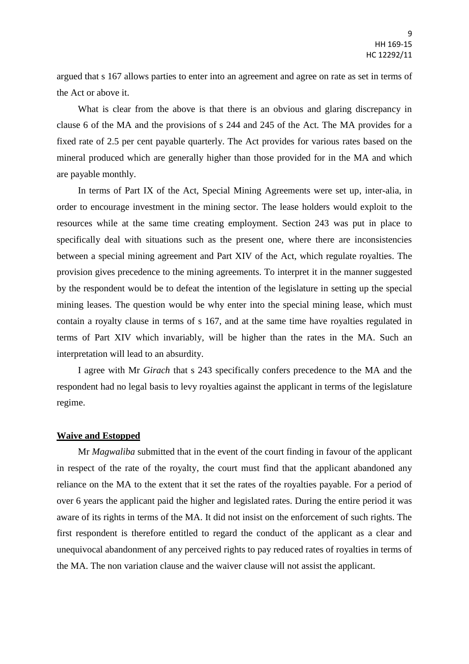argued that s 167 allows parties to enter into an agreement and agree on rate as set in terms of the Act or above it.

What is clear from the above is that there is an obvious and glaring discrepancy in clause 6 of the MA and the provisions of s 244 and 245 of the Act. The MA provides for a fixed rate of 2.5 per cent payable quarterly. The Act provides for various rates based on the mineral produced which are generally higher than those provided for in the MA and which are payable monthly.

In terms of Part IX of the Act, Special Mining Agreements were set up, inter-alia, in order to encourage investment in the mining sector. The lease holders would exploit to the resources while at the same time creating employment. Section 243 was put in place to specifically deal with situations such as the present one, where there are inconsistencies between a special mining agreement and Part XIV of the Act, which regulate royalties. The provision gives precedence to the mining agreements. To interpret it in the manner suggested by the respondent would be to defeat the intention of the legislature in setting up the special mining leases. The question would be why enter into the special mining lease, which must contain a royalty clause in terms of s 167, and at the same time have royalties regulated in terms of Part XIV which invariably, will be higher than the rates in the MA. Such an interpretation will lead to an absurdity.

I agree with Mr *Girach* that s 243 specifically confers precedence to the MA and the respondent had no legal basis to levy royalties against the applicant in terms of the legislature regime.

### **Waive and Estopped**

Mr *Magwaliba* submitted that in the event of the court finding in favour of the applicant in respect of the rate of the royalty, the court must find that the applicant abandoned any reliance on the MA to the extent that it set the rates of the royalties payable. For a period of over 6 years the applicant paid the higher and legislated rates. During the entire period it was aware of its rights in terms of the MA. It did not insist on the enforcement of such rights. The first respondent is therefore entitled to regard the conduct of the applicant as a clear and unequivocal abandonment of any perceived rights to pay reduced rates of royalties in terms of the MA. The non variation clause and the waiver clause will not assist the applicant.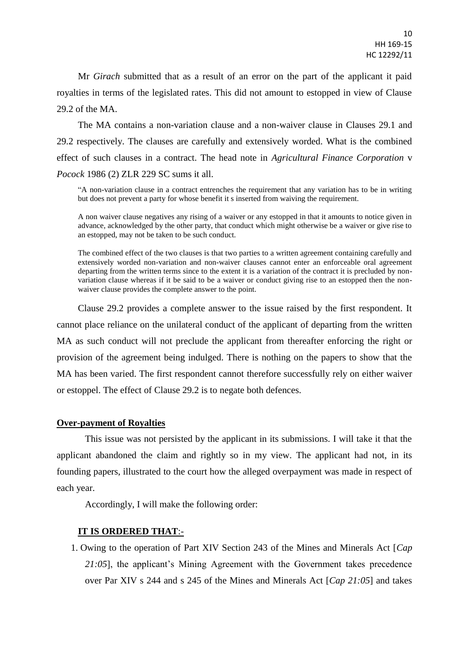Mr *Girach* submitted that as a result of an error on the part of the applicant it paid royalties in terms of the legislated rates. This did not amount to estopped in view of Clause 29.2 of the MA.

The MA contains a non-variation clause and a non-waiver clause in Clauses 29.1 and 29.2 respectively. The clauses are carefully and extensively worded. What is the combined effect of such clauses in a contract. The head note in *Agricultural Finance Corporation* v *Pocock* 1986 (2) ZLR 229 SC sums it all.

"A non-variation clause in a contract entrenches the requirement that any variation has to be in writing but does not prevent a party for whose benefit it s inserted from waiving the requirement.

A non waiver clause negatives any rising of a waiver or any estopped in that it amounts to notice given in advance, acknowledged by the other party, that conduct which might otherwise be a waiver or give rise to an estopped, may not be taken to be such conduct.

The combined effect of the two clauses is that two parties to a written agreement containing carefully and extensively worded non-variation and non-waiver clauses cannot enter an enforceable oral agreement departing from the written terms since to the extent it is a variation of the contract it is precluded by nonvariation clause whereas if it be said to be a waiver or conduct giving rise to an estopped then the nonwaiver clause provides the complete answer to the point.

Clause 29.2 provides a complete answer to the issue raised by the first respondent. It cannot place reliance on the unilateral conduct of the applicant of departing from the written MA as such conduct will not preclude the applicant from thereafter enforcing the right or provision of the agreement being indulged. There is nothing on the papers to show that the MA has been varied. The first respondent cannot therefore successfully rely on either waiver or estoppel. The effect of Clause 29.2 is to negate both defences.

### **Over-payment of Royalties**

This issue was not persisted by the applicant in its submissions. I will take it that the applicant abandoned the claim and rightly so in my view. The applicant had not, in its founding papers, illustrated to the court how the alleged overpayment was made in respect of each year.

Accordingly, I will make the following order:

# **IT IS ORDERED THAT**:-

1. Owing to the operation of Part XIV Section 243 of the Mines and Minerals Act [*Cap 21:05*], the applicant's Mining Agreement with the Government takes precedence over Par XIV s 244 and s 245 of the Mines and Minerals Act [*Cap 21:05*] and takes